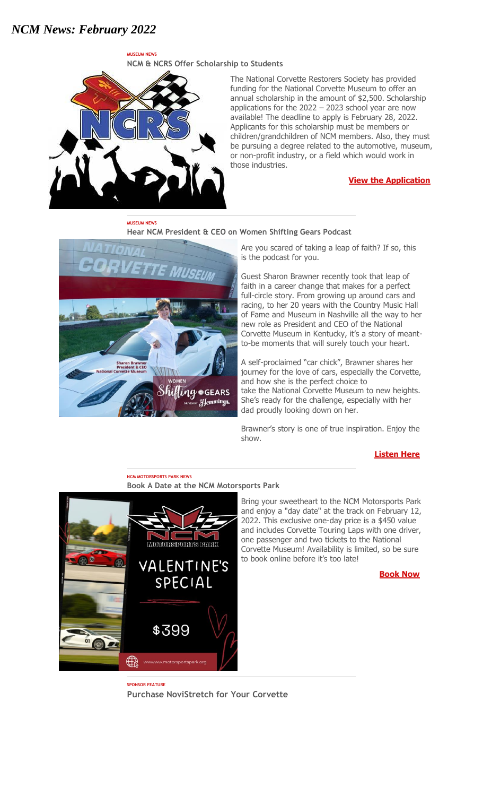# *NCM News: February 2022*

**MUSEUM NEWS**



**MUSEUM NEWS**

The National Corvette Restorers Society has provided funding for the National Corvette Museum to offer an annual scholarship in the amount of \$2,500. Scholarship applications for the 2022 – 2023 school year are now available! The deadline to apply is February 28, 2022. Applicants for this scholarship must be members or children/grandchildren of NCM members. Also, they must be pursuing a degree related to the automotive, museum, or non-profit industry, or a field which would work in those industries.

#### **[View the Application](http://portal.criticalimpact.com/go/1/62a0d4b8606b177309e5cb74f1f037a9/25995/04238928f449f70d3947229f28c3afba/9c82696fadea687ca6473c7b9fa19141/25995)**

# **Hear NCM President & CEO on Women Shifting Gears Podcast**



Are you scared of taking a leap of faith? If so, this is the podcast for you.

Guest Sharon Brawner recently took that leap of faith in a career change that makes for a perfect full-circle story. From growing up around cars and racing, to her 20 years with the Country Music Hall of Fame and Museum in Nashville all the way to her new role as President and CEO of the National Corvette Museum in Kentucky, it's a story of meantto-be moments that will surely touch your heart.

A self-proclaimed "car chick", Brawner shares her journey for the love of cars, especially the Corvette, and how she is the perfect choice to take the National Corvette Museum to new heights. She's ready for the challenge, especially with her dad proudly looking down on her.

Brawner's story is one of true inspiration. Enjoy the show.

#### **[Listen Here](http://portal.criticalimpact.com/go/1/62a0d4b8606b177309e5cb74f1f037a9/25995/04238928f449f70d3947229f28c3afba/ff657a94fc6175b1a6473c7b9fa19141/25995)**

#### **NCM MOTORSPORTS PARK NEWS Book A Date at the NCM Motorsports Park**



Bring your sweetheart to the NCM Motorsports Park and enjoy a "day date" at the track on February 12, 2022. This exclusive one-day price is a \$450 value and includes Corvette Touring Laps with one driver, one passenger and two tickets to the National Corvette Museum! Availability is limited, so be sure to book online before it's too late!

**[Book Now](http://portal.criticalimpact.com/go/1/62a0d4b8606b177309e5cb74f1f037a9/25995/04238928f449f70d3947229f28c3afba/afb22b404952cc34a6473c7b9fa19141/25995)**

**SPONSOR FEATURE Purchase NoviStretch for Your Corvette**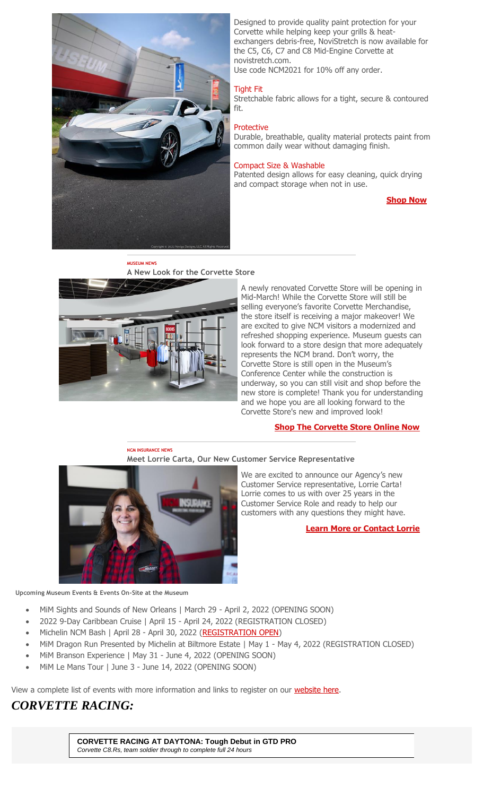

Designed to provide quality paint protection for your Corvette while helping keep your grills & heatexchangers debris-free, NoviStretch is now available for the C5, C6, C7 and C8 Mid-Engine Corvette at novistretch.com.

Use code NCM2021 for 10% off any order.

### Tight Fit

Stretchable fabric allows for a tight, secure & contoured fit.

### **Protective**

Durable, breathable, quality material protects paint from common daily wear without damaging finish.

#### Compact Size & Washable

Patented design allows for easy cleaning, quick drying and compact storage when not in use.

**[Shop Now](http://portal.criticalimpact.com/go/1/62a0d4b8606b177309e5cb74f1f037a9/25995/04238928f449f70d3947229f28c3afba/25158fcb7ae6b92aa6473c7b9fa19141/25995)**



**MUSEUM NEWS**

A newly renovated Corvette Store will be opening in Mid-March! While the Corvette Store will still be selling everyone's favorite Corvette Merchandise, the store itself is receiving a major makeover! We are excited to give NCM visitors a modernized and refreshed shopping experience. Museum guests can look forward to a store design that more adequately represents the NCM brand. Don't worry, the Corvette Store is still open in the Museum's Conference Center while the construction is underway, so you can still visit and shop before the new store is complete! Thank you for understanding and we hope you are all looking forward to the Corvette Store's new and improved look!

## **[Shop The Corvette Store Online Now](http://portal.criticalimpact.com/go/1/62a0d4b8606b177309e5cb74f1f037a9/25995/04238928f449f70d3947229f28c3afba/3893c229a5fdcc58a6473c7b9fa19141/25995)**

#### **NCM INSURANCE NEWS**





We are excited to announce our Agency's new Customer Service representative, Lorrie Carta! Lorrie comes to us with over 25 years in the Customer Service Role and ready to help our customers with any questions they might have.

**[Learn More or Contact Lorrie](http://portal.criticalimpact.com/go/1/62a0d4b8606b177309e5cb74f1f037a9/25995/04238928f449f70d3947229f28c3afba/676ad92f56f9d981a6473c7b9fa19141/25995)**

**Upcoming Museum Events & Events On-Site at the Museum**

- MiM Sights and Sounds of New Orleans | March 29 April 2, 2022 (OPENING SOON)
- 2022 9-Day Caribbean Cruise | April 15 April 24, 2022 (REGISTRATION CLOSED)
- Michelin NCM Bash | April 28 April 30, 2022 [\(REGISTRATION OPEN\)](http://portal.criticalimpact.com/go/1/62a0d4b8606b177309e5cb74f1f037a9/25995/04238928f449f70d3947229f28c3afba/680a17e997340099a6473c7b9fa19141/25995)
- MiM Dragon Run Presented by Michelin at Biltmore Estate | May 1 May 4, 2022 (REGISTRATION CLOSED)
- MiM Branson Experience | May 31 June 4, 2022 (OPENING SOON)
- MiM Le Mans Tour | June 3 June 14, 2022 (OPENING SOON)

View a complete list of events with more information and links to register on our [website here.](http://portal.criticalimpact.com/go/1/62a0d4b8606b177309e5cb74f1f037a9/25995/04238928f449f70d3947229f28c3afba/b8ce5750e409ef21a6473c7b9fa19141/25995)

# *CORVETTE RACING:*

**CORVETTE RACING AT DAYTONA: Tough Debut in GTD PRO** *Corvette C8.Rs, team soldier through to complete full 24 hours*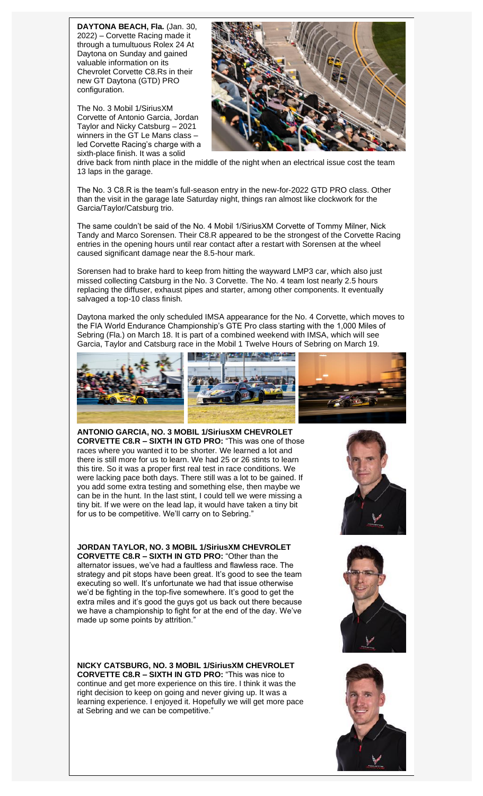**DAYTONA BEACH, Fla.** (Jan. 30, 2022) – Corvette Racing made it through a tumultuous Rolex 24 At Daytona on Sunday and gained valuable information on its Chevrolet Corvette C8.Rs in their new GT Daytona (GTD) PRO configuration.

The No. 3 Mobil 1/SiriusXM Corvette of Antonio Garcia, Jordan Taylor and Nicky Catsburg – 2021 winners in the GT Le Mans class – led Corvette Racing's charge with a sixth-place finish. It was a solid



drive back from ninth place in the middle of the night when an electrical issue cost the team 13 laps in the garage.

The No. 3 C8.R is the team's full-season entry in the new-for-2022 GTD PRO class. Other than the visit in the garage late Saturday night, things ran almost like clockwork for the Garcia/Taylor/Catsburg trio.

The same couldn't be said of the No. 4 Mobil 1/SiriusXM Corvette of Tommy Milner, Nick Tandy and Marco Sorensen. Their C8.R appeared to be the strongest of the Corvette Racing entries in the opening hours until rear contact after a restart with Sorensen at the wheel caused significant damage near the 8.5-hour mark.

Sorensen had to brake hard to keep from hitting the wayward LMP3 car, which also just missed collecting Catsburg in the No. 3 Corvette. The No. 4 team lost nearly 2.5 hours replacing the diffuser, exhaust pipes and starter, among other components. It eventually salvaged a top-10 class finish.

Daytona marked the only scheduled IMSA appearance for the No. 4 Corvette, which moves to the FIA World Endurance Championship's GTE Pro class starting with the 1,000 Miles of Sebring (Fla.) on March 18. It is part of a combined weekend with IMSA, which will see Garcia, Taylor and Catsburg race in the Mobil 1 Twelve Hours of Sebring on March 19.



**ANTONIO GARCIA, NO. 3 MOBIL 1/SiriusXM CHEVROLET CORVETTE C8.R – SIXTH IN GTD PRO:** "This was one of those races where you wanted it to be shorter. We learned a lot and there is still more for us to learn. We had 25 or 26 stints to learn this tire. So it was a proper first real test in race conditions. We were lacking pace both days. There still was a lot to be gained. If you add some extra testing and something else, then maybe we can be in the hunt. In the last stint, I could tell we were missing a tiny bit. If we were on the lead lap, it would have taken a tiny bit for us to be competitive. We'll carry on to Sebring."

**JORDAN TAYLOR, NO. 3 MOBIL 1/SiriusXM CHEVROLET CORVETTE C8.R – SIXTH IN GTD PRO:** "Other than the alternator issues, we've had a faultless and flawless race. The strategy and pit stops have been great. It's good to see the team executing so well. It's unfortunate we had that issue otherwise we'd be fighting in the top-five somewhere. It's good to get the extra miles and it's good the guys got us back out there because we have a championship to fight for at the end of the day. We've made up some points by attrition."

**NICKY CATSBURG, NO. 3 MOBIL 1/SiriusXM CHEVROLET CORVETTE C8.R – SIXTH IN GTD PRO:** "This was nice to continue and get more experience on this tire. I think it was the right decision to keep on going and never giving up. It was a learning experience. I enjoyed it. Hopefully we will get more pace at Sebring and we can be competitive."